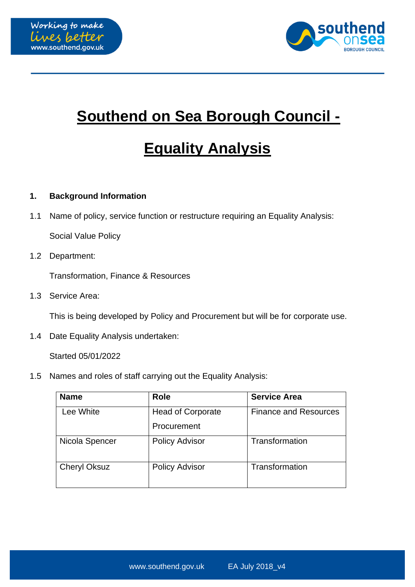



## **Southend on Sea Borough Council -**

# **Equality Analysis**

#### **1. Background Information**

1.1 Name of policy, service function or restructure requiring an Equality Analysis:

Social Value Policy

1.2 Department:

Transformation, Finance & Resources

1.3 Service Area:

This is being developed by Policy and Procurement but will be for corporate use.

1.4 Date Equality Analysis undertaken:

Started 05/01/2022

1.5 Names and roles of staff carrying out the Equality Analysis:

| <b>Name</b>         | <b>Role</b>              | <b>Service Area</b>          |
|---------------------|--------------------------|------------------------------|
| Lee White           | <b>Head of Corporate</b> | <b>Finance and Resources</b> |
|                     | Procurement              |                              |
| Nicola Spencer      | <b>Policy Advisor</b>    | Transformation               |
| <b>Cheryl Oksuz</b> | <b>Policy Advisor</b>    | Transformation               |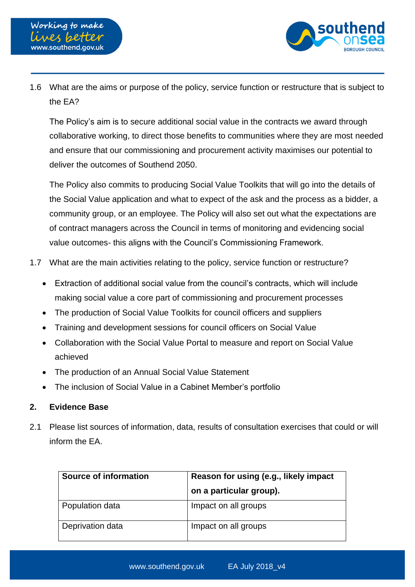

1.6 What are the aims or purpose of the policy, service function or restructure that is subject to the EA?

The Policy's aim is to secure additional social value in the contracts we award through collaborative working, to direct those benefits to communities where they are most needed and ensure that our commissioning and procurement activity maximises our potential to deliver the outcomes of Southend 2050.

The Policy also commits to producing Social Value Toolkits that will go into the details of the Social Value application and what to expect of the ask and the process as a bidder, a community group, or an employee. The Policy will also set out what the expectations are of contract managers across the Council in terms of monitoring and evidencing social value outcomes- this aligns with the Council's Commissioning Framework.

- 1.7 What are the main activities relating to the policy, service function or restructure?
	- Extraction of additional social value from the council's contracts, which will include making social value a core part of commissioning and procurement processes
	- The production of Social Value Toolkits for council officers and suppliers
	- Training and development sessions for council officers on Social Value
	- Collaboration with the Social Value Portal to measure and report on Social Value achieved
	- The production of an Annual Social Value Statement
	- The inclusion of Social Value in a Cabinet Member's portfolio

#### **2. Evidence Base**

2.1 Please list sources of information, data, results of consultation exercises that could or will inform the EA.

| Source of information | Reason for using (e.g., likely impact<br>on a particular group). |
|-----------------------|------------------------------------------------------------------|
| Population data       | Impact on all groups                                             |
| Deprivation data      | Impact on all groups                                             |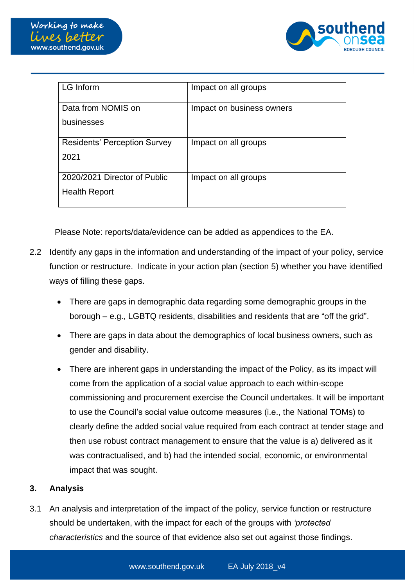

| LG Inform                                            | Impact on all groups      |
|------------------------------------------------------|---------------------------|
| Data from NOMIS on<br>businesses                     | Impact on business owners |
| <b>Residents' Perception Survey</b><br>2021          | Impact on all groups      |
| 2020/2021 Director of Public<br><b>Health Report</b> | Impact on all groups      |

Please Note: reports/data/evidence can be added as appendices to the EA.

- 2.2 Identify any gaps in the information and understanding of the impact of your policy, service function or restructure. Indicate in your action plan (section 5) whether you have identified ways of filling these gaps.
	- There are gaps in demographic data regarding some demographic groups in the borough – e.g., LGBTQ residents, disabilities and residents that are "off the grid".
	- There are gaps in data about the demographics of local business owners, such as gender and disability.
	- There are inherent gaps in understanding the impact of the Policy, as its impact will come from the application of a social value approach to each within-scope commissioning and procurement exercise the Council undertakes. It will be important to use the Council's social value outcome measures (i.e., the National TOMs) to clearly define the added social value required from each contract at tender stage and then use robust contract management to ensure that the value is a) delivered as it was contractualised, and b) had the intended social, economic, or environmental impact that was sought.

#### **3. Analysis**

3.1 An analysis and interpretation of the impact of the policy, service function or restructure should be undertaken, with the impact for each of the groups with *'protected characteristics* and the source of that evidence also set out against those findings.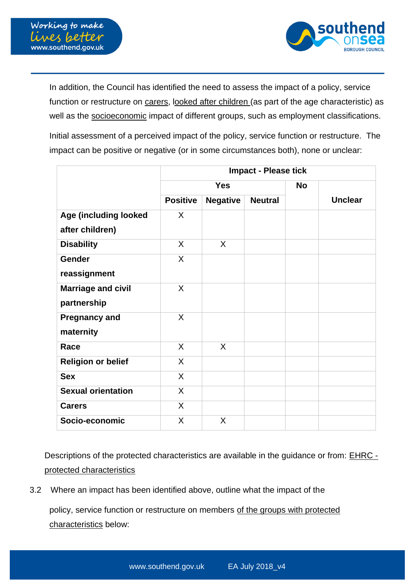

In addition, the Council has identified the need to assess the impact of a policy, service function or restructure on carers, looked after children (as part of the age characteristic) as well as the socioeconomic impact of different groups, such as employment classifications.

Initial assessment of a perceived impact of the policy, service function or restructure. The impact can be positive or negative (or in some circumstances both), none or unclear:

|                           | <b>Impact - Please tick</b> |                 |                |  |                |
|---------------------------|-----------------------------|-----------------|----------------|--|----------------|
|                           | <b>Yes</b>                  |                 | <b>No</b>      |  |                |
|                           | <b>Positive</b>             | <b>Negative</b> | <b>Neutral</b> |  | <b>Unclear</b> |
| Age (including looked     | X                           |                 |                |  |                |
| after children)           |                             |                 |                |  |                |
| <b>Disability</b>         | $\mathsf{X}$                | X               |                |  |                |
| <b>Gender</b>             | $\mathsf{X}$                |                 |                |  |                |
| reassignment              |                             |                 |                |  |                |
| <b>Marriage and civil</b> | $\sf X$                     |                 |                |  |                |
| partnership               |                             |                 |                |  |                |
| <b>Pregnancy and</b>      | X                           |                 |                |  |                |
| maternity                 |                             |                 |                |  |                |
| Race                      | X                           | X               |                |  |                |
| <b>Religion or belief</b> | $\sf X$                     |                 |                |  |                |
| <b>Sex</b>                | X                           |                 |                |  |                |
| <b>Sexual orientation</b> | X                           |                 |                |  |                |
| <b>Carers</b>             | X                           |                 |                |  |                |
| Socio-economic            | X                           | X               |                |  |                |

Descriptions of the protected characteristics are available in the guidance or from: [EHRC](http://www.equalityhumanrights.com/advice-and-guidance/further-and-higher-education-providers-guidance/protected-characteristics)  [protected characteristics](http://www.equalityhumanrights.com/advice-and-guidance/further-and-higher-education-providers-guidance/protected-characteristics)

3.2 Where an impact has been identified above, outline what the impact of the

policy, service function or restructure on members of the groups with protected characteristics below: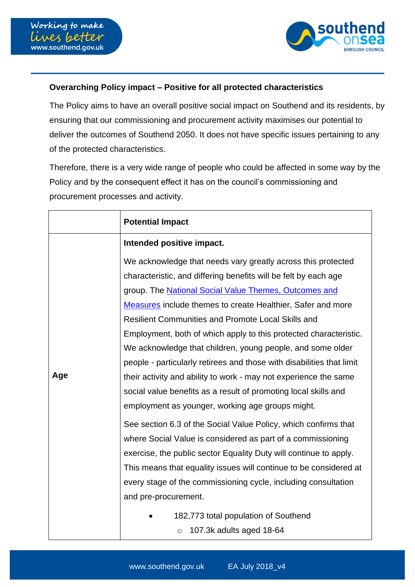

### **Overarching Policy impact – Positive for all protected characteristics**

The Policy aims to have an overall positive social impact on Southend and its residents, by ensuring that our commissioning and procurement activity maximises our potential to deliver the outcomes of Southend 2050. It does not have specific issues pertaining to any of the protected characteristics.

Therefore, there is a very wide range of people who could be affected in some way by the Policy and by the consequent effect it has on the council's commissioning and procurement processes and activity.

|     | <b>Potential Impact</b>                                                                                                                                                                                                                                                                                                                                                                                                                                                                                                                                                                                                                                                                                                                                                                                                                                               |
|-----|-----------------------------------------------------------------------------------------------------------------------------------------------------------------------------------------------------------------------------------------------------------------------------------------------------------------------------------------------------------------------------------------------------------------------------------------------------------------------------------------------------------------------------------------------------------------------------------------------------------------------------------------------------------------------------------------------------------------------------------------------------------------------------------------------------------------------------------------------------------------------|
|     | Intended positive impact.                                                                                                                                                                                                                                                                                                                                                                                                                                                                                                                                                                                                                                                                                                                                                                                                                                             |
| Age | We acknowledge that needs vary greatly across this protected<br>characteristic, and differing benefits will be felt by each age<br>group. The <b>National Social Value Themes</b> , Outcomes and<br>Measures include themes to create Healthier, Safer and more<br><b>Resilient Communities and Promote Local Skills and</b><br>Employment, both of which apply to this protected characteristic.<br>We acknowledge that children, young people, and some older<br>people - particularly retirees and those with disabilities that limit<br>their activity and ability to work - may not experience the same<br>social value benefits as a result of promoting local skills and<br>employment as younger, working age groups might.<br>See section 6.3 of the Social Value Policy, which confirms that<br>where Social Value is considered as part of a commissioning |
|     | exercise, the public sector Equality Duty will continue to apply.                                                                                                                                                                                                                                                                                                                                                                                                                                                                                                                                                                                                                                                                                                                                                                                                     |
|     | This means that equality issues will continue to be considered at<br>every stage of the commissioning cycle, including consultation                                                                                                                                                                                                                                                                                                                                                                                                                                                                                                                                                                                                                                                                                                                                   |
|     | and pre-procurement.                                                                                                                                                                                                                                                                                                                                                                                                                                                                                                                                                                                                                                                                                                                                                                                                                                                  |
|     | 182,773 total population of Southend<br>107.3k adults aged 18-64<br>$\circ$                                                                                                                                                                                                                                                                                                                                                                                                                                                                                                                                                                                                                                                                                                                                                                                           |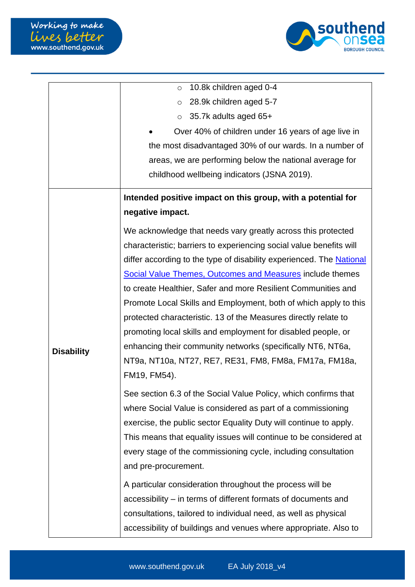

|                   | 10.8k children aged 0-4<br>$\circ$                                   |
|-------------------|----------------------------------------------------------------------|
|                   | 28.9k children aged 5-7<br>$\circ$                                   |
|                   |                                                                      |
|                   | 35.7k adults aged 65+<br>$\circ$                                     |
|                   | Over 40% of children under 16 years of age live in                   |
|                   | the most disadvantaged 30% of our wards. In a number of              |
|                   | areas, we are performing below the national average for              |
|                   | childhood wellbeing indicators (JSNA 2019).                          |
|                   | Intended positive impact on this group, with a potential for         |
|                   | negative impact.                                                     |
|                   | We acknowledge that needs vary greatly across this protected         |
|                   | characteristic; barriers to experiencing social value benefits will  |
|                   | differ according to the type of disability experienced. The National |
|                   | <b>Social Value Themes, Outcomes and Measures include themes</b>     |
|                   | to create Healthier, Safer and more Resilient Communities and        |
|                   | Promote Local Skills and Employment, both of which apply to this     |
|                   | protected characteristic. 13 of the Measures directly relate to      |
|                   | promoting local skills and employment for disabled people, or        |
| <b>Disability</b> | enhancing their community networks (specifically NT6, NT6a,          |
|                   | NT9a, NT10a, NT27, RE7, RE31, FM8, FM8a, FM17a, FM18a,               |
|                   | FM19, FM54).                                                         |
|                   | See section 6.3 of the Social Value Policy, which confirms that      |
|                   | where Social Value is considered as part of a commissioning          |
|                   | exercise, the public sector Equality Duty will continue to apply.    |
|                   | This means that equality issues will continue to be considered at    |
|                   | every stage of the commissioning cycle, including consultation       |
|                   | and pre-procurement.                                                 |
|                   | A particular consideration throughout the process will be            |
|                   | accessibility – in terms of different formats of documents and       |
|                   | consultations, tailored to individual need, as well as physical      |
|                   | accessibility of buildings and venues where appropriate. Also to     |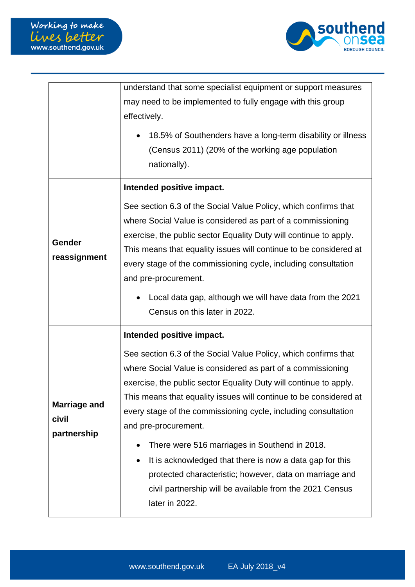

|                              | understand that some specialist equipment or support measures                                                                                                                                                                                                                                                                                                                                                                  |  |  |
|------------------------------|--------------------------------------------------------------------------------------------------------------------------------------------------------------------------------------------------------------------------------------------------------------------------------------------------------------------------------------------------------------------------------------------------------------------------------|--|--|
|                              | may need to be implemented to fully engage with this group                                                                                                                                                                                                                                                                                                                                                                     |  |  |
|                              | effectively.                                                                                                                                                                                                                                                                                                                                                                                                                   |  |  |
|                              | 18.5% of Southenders have a long-term disability or illness<br>(Census 2011) (20% of the working age population<br>nationally).                                                                                                                                                                                                                                                                                                |  |  |
|                              | Intended positive impact.                                                                                                                                                                                                                                                                                                                                                                                                      |  |  |
| Gender<br>reassignment       | See section 6.3 of the Social Value Policy, which confirms that<br>where Social Value is considered as part of a commissioning<br>exercise, the public sector Equality Duty will continue to apply.<br>This means that equality issues will continue to be considered at<br>every stage of the commissioning cycle, including consultation<br>and pre-procurement.<br>Local data gap, although we will have data from the 2021 |  |  |
|                              | Census on this later in 2022.                                                                                                                                                                                                                                                                                                                                                                                                  |  |  |
|                              | Intended positive impact.                                                                                                                                                                                                                                                                                                                                                                                                      |  |  |
| <b>Marriage and</b><br>civil | See section 6.3 of the Social Value Policy, which confirms that<br>where Social Value is considered as part of a commissioning<br>exercise, the public sector Equality Duty will continue to apply.<br>This means that equality issues will continue to be considered at<br>every stage of the commissioning cycle, including consultation<br>and pre-procurement.                                                             |  |  |
| partnership                  | There were 516 marriages in Southend in 2018.<br>It is acknowledged that there is now a data gap for this<br>protected characteristic; however, data on marriage and<br>civil partnership will be available from the 2021 Census<br>later in 2022.                                                                                                                                                                             |  |  |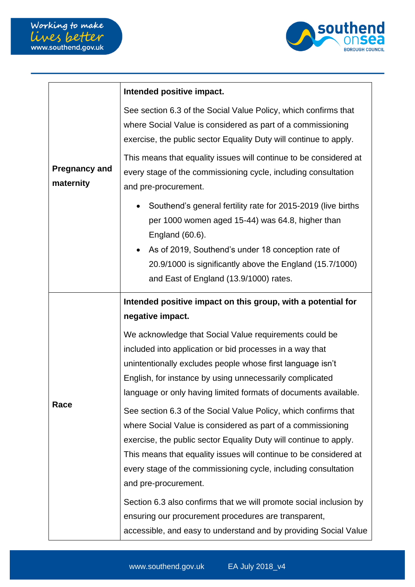

|                                                                                                                                                                                                                                                                                                                                                                            | Intended positive impact.                                                                                                                                                                           |  |  |
|----------------------------------------------------------------------------------------------------------------------------------------------------------------------------------------------------------------------------------------------------------------------------------------------------------------------------------------------------------------------------|-----------------------------------------------------------------------------------------------------------------------------------------------------------------------------------------------------|--|--|
|                                                                                                                                                                                                                                                                                                                                                                            | See section 6.3 of the Social Value Policy, which confirms that<br>where Social Value is considered as part of a commissioning<br>exercise, the public sector Equality Duty will continue to apply. |  |  |
| <b>Pregnancy and</b><br>maternity                                                                                                                                                                                                                                                                                                                                          | This means that equality issues will continue to be considered at<br>every stage of the commissioning cycle, including consultation<br>and pre-procurement.                                         |  |  |
|                                                                                                                                                                                                                                                                                                                                                                            | Southend's general fertility rate for 2015-2019 (live births<br>per 1000 women aged 15-44) was 64.8, higher than<br>England (60.6).                                                                 |  |  |
|                                                                                                                                                                                                                                                                                                                                                                            | As of 2019, Southend's under 18 conception rate of<br>$\bullet$<br>20.9/1000 is significantly above the England (15.7/1000)<br>and East of England (13.9/1000) rates.                               |  |  |
|                                                                                                                                                                                                                                                                                                                                                                            | Intended positive impact on this group, with a potential for                                                                                                                                        |  |  |
|                                                                                                                                                                                                                                                                                                                                                                            | negative impact.                                                                                                                                                                                    |  |  |
|                                                                                                                                                                                                                                                                                                                                                                            | We acknowledge that Social Value requirements could be                                                                                                                                              |  |  |
|                                                                                                                                                                                                                                                                                                                                                                            | included into application or bid processes in a way that                                                                                                                                            |  |  |
|                                                                                                                                                                                                                                                                                                                                                                            | unintentionally excludes people whose first language isn't                                                                                                                                          |  |  |
|                                                                                                                                                                                                                                                                                                                                                                            | English, for instance by using unnecessarily complicated<br>language or only having limited formats of documents available.                                                                         |  |  |
| Race<br>See section 6.3 of the Social Value Policy, which confirms that<br>where Social Value is considered as part of a commissioning<br>exercise, the public sector Equality Duty will continue to apply.<br>This means that equality issues will continue to be considered at<br>every stage of the commissioning cycle, including consultation<br>and pre-procurement. |                                                                                                                                                                                                     |  |  |
|                                                                                                                                                                                                                                                                                                                                                                            | Section 6.3 also confirms that we will promote social inclusion by<br>ensuring our procurement procedures are transparent,<br>accessible, and easy to understand and by providing Social Value      |  |  |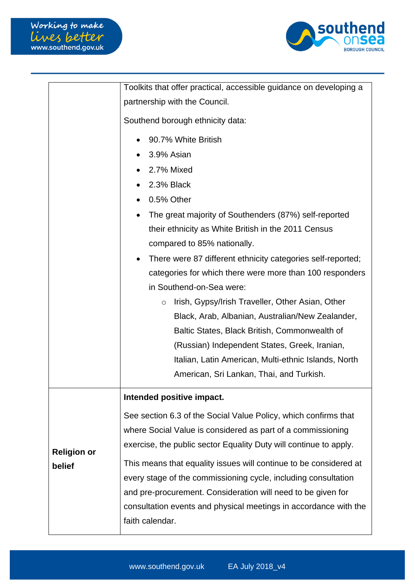

|                    | Toolkits that offer practical, accessible guidance on developing a       |  |  |
|--------------------|--------------------------------------------------------------------------|--|--|
|                    | partnership with the Council.                                            |  |  |
|                    | Southend borough ethnicity data:                                         |  |  |
|                    | 90.7% White British                                                      |  |  |
|                    | 3.9% Asian                                                               |  |  |
|                    | 2.7% Mixed                                                               |  |  |
|                    | 2.3% Black                                                               |  |  |
|                    | 0.5% Other                                                               |  |  |
|                    | The great majority of Southenders (87%) self-reported                    |  |  |
|                    | their ethnicity as White British in the 2011 Census                      |  |  |
|                    | compared to 85% nationally.                                              |  |  |
|                    | There were 87 different ethnicity categories self-reported;<br>$\bullet$ |  |  |
|                    | categories for which there were more than 100 responders                 |  |  |
|                    | in Southend-on-Sea were:                                                 |  |  |
|                    | Irish, Gypsy/Irish Traveller, Other Asian, Other<br>$\circ$              |  |  |
|                    | Black, Arab, Albanian, Australian/New Zealander,                         |  |  |
|                    | Baltic States, Black British, Commonwealth of                            |  |  |
|                    | (Russian) Independent States, Greek, Iranian,                            |  |  |
|                    | Italian, Latin American, Multi-ethnic Islands, North                     |  |  |
|                    | American, Sri Lankan, Thai, and Turkish.                                 |  |  |
|                    | Intended positive impact.                                                |  |  |
|                    | See section 6.3 of the Social Value Policy, which confirms that          |  |  |
|                    | where Social Value is considered as part of a commissioning              |  |  |
| <b>Religion or</b> | exercise, the public sector Equality Duty will continue to apply.        |  |  |
| belief             | This means that equality issues will continue to be considered at        |  |  |
|                    | every stage of the commissioning cycle, including consultation           |  |  |
|                    | and pre-procurement. Consideration will need to be given for             |  |  |
|                    | consultation events and physical meetings in accordance with the         |  |  |
|                    | faith calendar.                                                          |  |  |
|                    |                                                                          |  |  |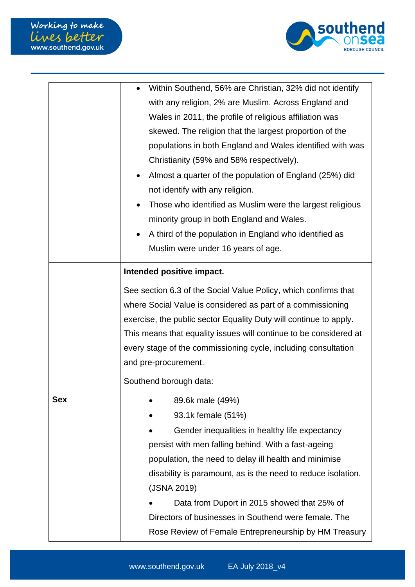

|            | Within Southend, 56% are Christian, 32% did not identify<br>with any religion, 2% are Muslim. Across England and<br>Wales in 2011, the profile of religious affiliation was<br>skewed. The religion that the largest proportion of the<br>populations in both England and Wales identified with was<br>Christianity (59% and 58% respectively).<br>Almost a quarter of the population of England (25%) did |
|------------|------------------------------------------------------------------------------------------------------------------------------------------------------------------------------------------------------------------------------------------------------------------------------------------------------------------------------------------------------------------------------------------------------------|
|            | not identify with any religion.                                                                                                                                                                                                                                                                                                                                                                            |
|            | Those who identified as Muslim were the largest religious<br>minority group in both England and Wales.                                                                                                                                                                                                                                                                                                     |
|            | A third of the population in England who identified as<br>Muslim were under 16 years of age.                                                                                                                                                                                                                                                                                                               |
|            | Intended positive impact.                                                                                                                                                                                                                                                                                                                                                                                  |
|            | See section 6.3 of the Social Value Policy, which confirms that<br>where Social Value is considered as part of a commissioning<br>exercise, the public sector Equality Duty will continue to apply.<br>This means that equality issues will continue to be considered at<br>every stage of the commissioning cycle, including consultation<br>and pre-procurement.                                         |
|            | Southend borough data:                                                                                                                                                                                                                                                                                                                                                                                     |
| <b>Sex</b> | 89.6k male (49%)<br>93.1k female (51%)<br>Gender inequalities in healthy life expectancy<br>persist with men falling behind. With a fast-ageing<br>population, the need to delay ill health and minimise<br>disability is paramount, as is the need to reduce isolation.<br>(JSNA 2019)<br>Data from Duport in 2015 showed that 25% of<br>Directors of businesses in Southend were female. The             |
|            | Rose Review of Female Entrepreneurship by HM Treasury                                                                                                                                                                                                                                                                                                                                                      |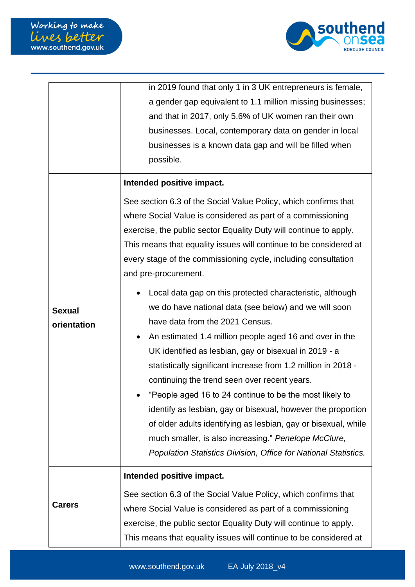

| in 2019 found that only 1 in 3 UK entrepreneurs is female,<br>a gender gap equivalent to 1.1 million missing businesses;<br>and that in 2017, only 5.6% of UK women ran their own<br>businesses. Local, contemporary data on gender in local<br>businesses is a known data gap and will be filled when<br>possible.<br>Intended positive impact.<br>See section 6.3 of the Social Value Policy, which confirms that<br>where Social Value is considered as part of a commissioning<br>exercise, the public sector Equality Duty will continue to apply.<br>This means that equality issues will continue to be considered at<br>every stage of the commissioning cycle, including consultation<br>and pre-procurement.<br>Local data gap on this protected characteristic, although<br>we do have national data (see below) and we will soon<br><b>Sexual</b><br>have data from the 2021 Census.<br>orientation<br>An estimated 1.4 million people aged 16 and over in the<br>UK identified as lesbian, gay or bisexual in 2019 - a<br>statistically significant increase from 1.2 million in 2018 -<br>continuing the trend seen over recent years. |
|------------------------------------------------------------------------------------------------------------------------------------------------------------------------------------------------------------------------------------------------------------------------------------------------------------------------------------------------------------------------------------------------------------------------------------------------------------------------------------------------------------------------------------------------------------------------------------------------------------------------------------------------------------------------------------------------------------------------------------------------------------------------------------------------------------------------------------------------------------------------------------------------------------------------------------------------------------------------------------------------------------------------------------------------------------------------------------------------------------------------------------------------------|
|                                                                                                                                                                                                                                                                                                                                                                                                                                                                                                                                                                                                                                                                                                                                                                                                                                                                                                                                                                                                                                                                                                                                                      |
|                                                                                                                                                                                                                                                                                                                                                                                                                                                                                                                                                                                                                                                                                                                                                                                                                                                                                                                                                                                                                                                                                                                                                      |
|                                                                                                                                                                                                                                                                                                                                                                                                                                                                                                                                                                                                                                                                                                                                                                                                                                                                                                                                                                                                                                                                                                                                                      |
|                                                                                                                                                                                                                                                                                                                                                                                                                                                                                                                                                                                                                                                                                                                                                                                                                                                                                                                                                                                                                                                                                                                                                      |
|                                                                                                                                                                                                                                                                                                                                                                                                                                                                                                                                                                                                                                                                                                                                                                                                                                                                                                                                                                                                                                                                                                                                                      |
|                                                                                                                                                                                                                                                                                                                                                                                                                                                                                                                                                                                                                                                                                                                                                                                                                                                                                                                                                                                                                                                                                                                                                      |
|                                                                                                                                                                                                                                                                                                                                                                                                                                                                                                                                                                                                                                                                                                                                                                                                                                                                                                                                                                                                                                                                                                                                                      |
|                                                                                                                                                                                                                                                                                                                                                                                                                                                                                                                                                                                                                                                                                                                                                                                                                                                                                                                                                                                                                                                                                                                                                      |
|                                                                                                                                                                                                                                                                                                                                                                                                                                                                                                                                                                                                                                                                                                                                                                                                                                                                                                                                                                                                                                                                                                                                                      |
|                                                                                                                                                                                                                                                                                                                                                                                                                                                                                                                                                                                                                                                                                                                                                                                                                                                                                                                                                                                                                                                                                                                                                      |
|                                                                                                                                                                                                                                                                                                                                                                                                                                                                                                                                                                                                                                                                                                                                                                                                                                                                                                                                                                                                                                                                                                                                                      |
|                                                                                                                                                                                                                                                                                                                                                                                                                                                                                                                                                                                                                                                                                                                                                                                                                                                                                                                                                                                                                                                                                                                                                      |
|                                                                                                                                                                                                                                                                                                                                                                                                                                                                                                                                                                                                                                                                                                                                                                                                                                                                                                                                                                                                                                                                                                                                                      |
|                                                                                                                                                                                                                                                                                                                                                                                                                                                                                                                                                                                                                                                                                                                                                                                                                                                                                                                                                                                                                                                                                                                                                      |
|                                                                                                                                                                                                                                                                                                                                                                                                                                                                                                                                                                                                                                                                                                                                                                                                                                                                                                                                                                                                                                                                                                                                                      |
|                                                                                                                                                                                                                                                                                                                                                                                                                                                                                                                                                                                                                                                                                                                                                                                                                                                                                                                                                                                                                                                                                                                                                      |
|                                                                                                                                                                                                                                                                                                                                                                                                                                                                                                                                                                                                                                                                                                                                                                                                                                                                                                                                                                                                                                                                                                                                                      |
|                                                                                                                                                                                                                                                                                                                                                                                                                                                                                                                                                                                                                                                                                                                                                                                                                                                                                                                                                                                                                                                                                                                                                      |
|                                                                                                                                                                                                                                                                                                                                                                                                                                                                                                                                                                                                                                                                                                                                                                                                                                                                                                                                                                                                                                                                                                                                                      |
|                                                                                                                                                                                                                                                                                                                                                                                                                                                                                                                                                                                                                                                                                                                                                                                                                                                                                                                                                                                                                                                                                                                                                      |
| "People aged 16 to 24 continue to be the most likely to                                                                                                                                                                                                                                                                                                                                                                                                                                                                                                                                                                                                                                                                                                                                                                                                                                                                                                                                                                                                                                                                                              |
| identify as lesbian, gay or bisexual, however the proportion                                                                                                                                                                                                                                                                                                                                                                                                                                                                                                                                                                                                                                                                                                                                                                                                                                                                                                                                                                                                                                                                                         |
| of older adults identifying as lesbian, gay or bisexual, while                                                                                                                                                                                                                                                                                                                                                                                                                                                                                                                                                                                                                                                                                                                                                                                                                                                                                                                                                                                                                                                                                       |
| much smaller, is also increasing." Penelope McClure,                                                                                                                                                                                                                                                                                                                                                                                                                                                                                                                                                                                                                                                                                                                                                                                                                                                                                                                                                                                                                                                                                                 |
| Population Statistics Division, Office for National Statistics.                                                                                                                                                                                                                                                                                                                                                                                                                                                                                                                                                                                                                                                                                                                                                                                                                                                                                                                                                                                                                                                                                      |
|                                                                                                                                                                                                                                                                                                                                                                                                                                                                                                                                                                                                                                                                                                                                                                                                                                                                                                                                                                                                                                                                                                                                                      |
| Intended positive impact.                                                                                                                                                                                                                                                                                                                                                                                                                                                                                                                                                                                                                                                                                                                                                                                                                                                                                                                                                                                                                                                                                                                            |
| See section 6.3 of the Social Value Policy, which confirms that                                                                                                                                                                                                                                                                                                                                                                                                                                                                                                                                                                                                                                                                                                                                                                                                                                                                                                                                                                                                                                                                                      |
| <b>Carers</b><br>where Social Value is considered as part of a commissioning                                                                                                                                                                                                                                                                                                                                                                                                                                                                                                                                                                                                                                                                                                                                                                                                                                                                                                                                                                                                                                                                         |
| exercise, the public sector Equality Duty will continue to apply.                                                                                                                                                                                                                                                                                                                                                                                                                                                                                                                                                                                                                                                                                                                                                                                                                                                                                                                                                                                                                                                                                    |
| This means that equality issues will continue to be considered at                                                                                                                                                                                                                                                                                                                                                                                                                                                                                                                                                                                                                                                                                                                                                                                                                                                                                                                                                                                                                                                                                    |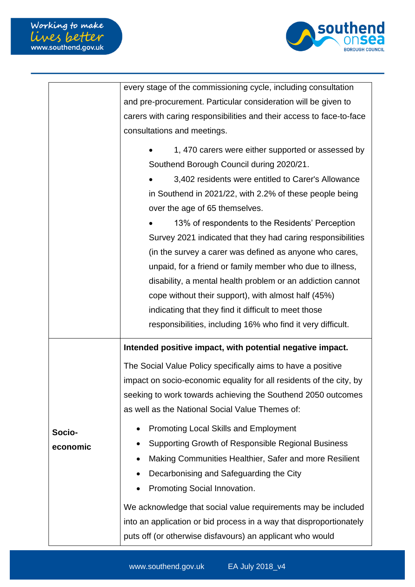

|          | every stage of the commissioning cycle, including consultation       |
|----------|----------------------------------------------------------------------|
|          | and pre-procurement. Particular consideration will be given to       |
|          | carers with caring responsibilities and their access to face-to-face |
|          | consultations and meetings.                                          |
|          | 1, 470 carers were either supported or assessed by                   |
|          | Southend Borough Council during 2020/21.                             |
|          | 3,402 residents were entitled to Carer's Allowance                   |
|          | in Southend in 2021/22, with 2.2% of these people being              |
|          | over the age of 65 themselves.                                       |
|          | 13% of respondents to the Residents' Perception                      |
|          | Survey 2021 indicated that they had caring responsibilities          |
|          | (in the survey a carer was defined as anyone who cares,              |
|          | unpaid, for a friend or family member who due to illness,            |
|          | disability, a mental health problem or an addiction cannot           |
|          | cope without their support), with almost half (45%)                  |
|          | indicating that they find it difficult to meet those                 |
|          | responsibilities, including 16% who find it very difficult.          |
|          | Intended positive impact, with potential negative impact.            |
|          | The Social Value Policy specifically aims to have a positive         |
|          | impact on socio-economic equality for all residents of the city, by  |
|          | seeking to work towards achieving the Southend 2050 outcomes         |
|          | as well as the National Social Value Themes of:                      |
| Socio-   | <b>Promoting Local Skills and Employment</b><br>٠                    |
| economic | Supporting Growth of Responsible Regional Business                   |
|          | Making Communities Healthier, Safer and more Resilient               |
|          | Decarbonising and Safeguarding the City                              |
|          | Promoting Social Innovation.                                         |
|          | We acknowledge that social value requirements may be included        |
|          | into an application or bid process in a way that disproportionately  |
|          | puts off (or otherwise disfavours) an applicant who would            |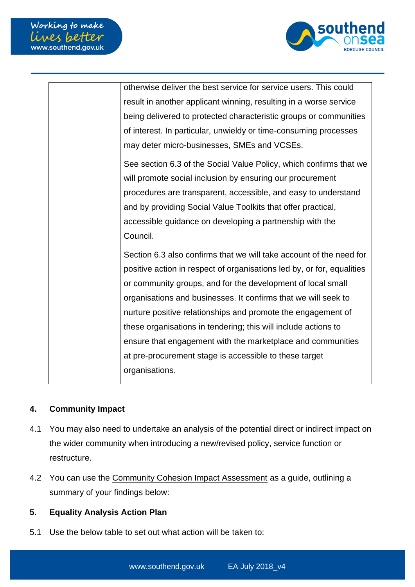

| otherwise deliver the best service for service users. This could       |
|------------------------------------------------------------------------|
| result in another applicant winning, resulting in a worse service      |
| being delivered to protected characteristic groups or communities      |
| of interest. In particular, unwieldy or time-consuming processes       |
| may deter micro-businesses, SMEs and VCSEs.                            |
| See section 6.3 of the Social Value Policy, which confirms that we     |
| will promote social inclusion by ensuring our procurement              |
| procedures are transparent, accessible, and easy to understand         |
| and by providing Social Value Toolkits that offer practical,           |
| accessible guidance on developing a partnership with the               |
| Council.                                                               |
| Section 6.3 also confirms that we will take account of the need for    |
| positive action in respect of organisations led by, or for, equalities |
| or community groups, and for the development of local small            |
| organisations and businesses. It confirms that we will seek to         |
| nurture positive relationships and promote the engagement of           |
| these organisations in tendering; this will include actions to         |
| ensure that engagement with the marketplace and communities            |
|                                                                        |
| at pre-procurement stage is accessible to these target                 |
| organisations.                                                         |

#### **4. Community Impact**

- 4.1 You may also need to undertake an analysis of the potential direct or indirect impact on the wider community when introducing a new/revised policy, service function or restructure.
- 4.2 You can use the [Community Cohesion Impact Assessment](http://seattle/Pages/Equality-Analysis-formerly-Equality-Impact-Assessment.aspx) as a guide, outlining a summary of your findings below:

### **5. Equality Analysis Action Plan**

5.1 Use the below table to set out what action will be taken to: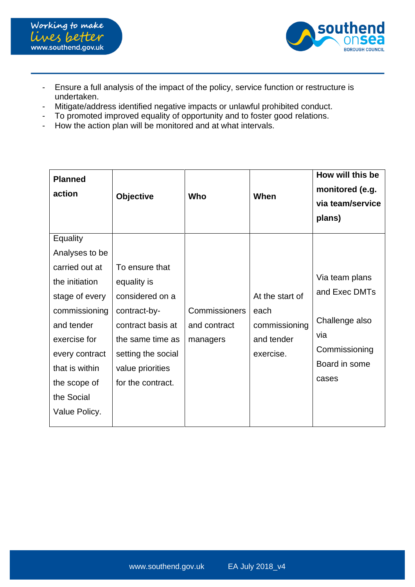



- Ensure a full analysis of the impact of the policy, service function or restructure is undertaken.
- Mitigate/address identified negative impacts or unlawful prohibited conduct.
- To promoted improved equality of opportunity and to foster good relations.
- How the action plan will be monitored and at what intervals.

| <b>Planned</b><br>action                                                                                                                                                             | <b>Objective</b>                                                                                                                                                         | Who                                       | When                                                                | How will this be<br>monitored (e.g.<br>via team/service<br>plans)                                   |
|--------------------------------------------------------------------------------------------------------------------------------------------------------------------------------------|--------------------------------------------------------------------------------------------------------------------------------------------------------------------------|-------------------------------------------|---------------------------------------------------------------------|-----------------------------------------------------------------------------------------------------|
| Equality<br>Analyses to be                                                                                                                                                           |                                                                                                                                                                          |                                           |                                                                     |                                                                                                     |
| carried out at<br>the initiation<br>stage of every<br>commissioning<br>and tender<br>exercise for<br>every contract<br>that is within<br>the scope of<br>the Social<br>Value Policy. | To ensure that<br>equality is<br>considered on a<br>contract-by-<br>contract basis at<br>the same time as<br>setting the social<br>value priorities<br>for the contract. | Commissioners<br>and contract<br>managers | At the start of<br>each<br>commissioning<br>and tender<br>exercise. | Via team plans<br>and Exec DMTs<br>Challenge also<br>via<br>Commissioning<br>Board in some<br>cases |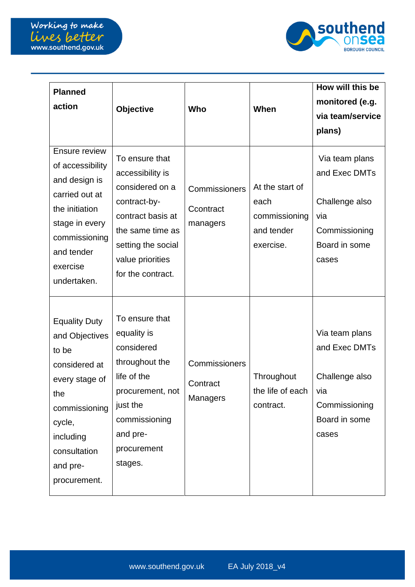

| <b>Planned</b><br>action                                                                                                                                                      | Objective                                                                                                                                                                     | Who                                          | When                                                                | How will this be<br>monitored (e.g.<br>via team/service<br>plans)                                   |
|-------------------------------------------------------------------------------------------------------------------------------------------------------------------------------|-------------------------------------------------------------------------------------------------------------------------------------------------------------------------------|----------------------------------------------|---------------------------------------------------------------------|-----------------------------------------------------------------------------------------------------|
| <b>Ensure review</b><br>of accessibility<br>and design is<br>carried out at<br>the initiation<br>stage in every<br>commissioning<br>and tender<br>exercise<br>undertaken.     | To ensure that<br>accessibility is<br>considered on a<br>contract-by-<br>contract basis at<br>the same time as<br>setting the social<br>value priorities<br>for the contract. | Commissioners<br>Ccontract<br>managers       | At the start of<br>each<br>commissioning<br>and tender<br>exercise. | Via team plans<br>and Exec DMTs<br>Challenge also<br>via<br>Commissioning<br>Board in some<br>cases |
| <b>Equality Duty</b><br>and Objectives<br>to be<br>considered at<br>every stage of<br>the<br>commissioning<br>cycle,<br>including<br>consultation<br>and pre-<br>procurement. | To ensure that<br>equality is<br>considered<br>throughout the<br>life of the<br>procurement, not<br>just the<br>commissioning<br>and pre-<br>procurement<br>stages.           | Commissioners<br>Contract<br><b>Managers</b> | Throughout<br>the life of each<br>contract.                         | Via team plans<br>and Exec DMTs<br>Challenge also<br>via<br>Commissioning<br>Board in some<br>cases |